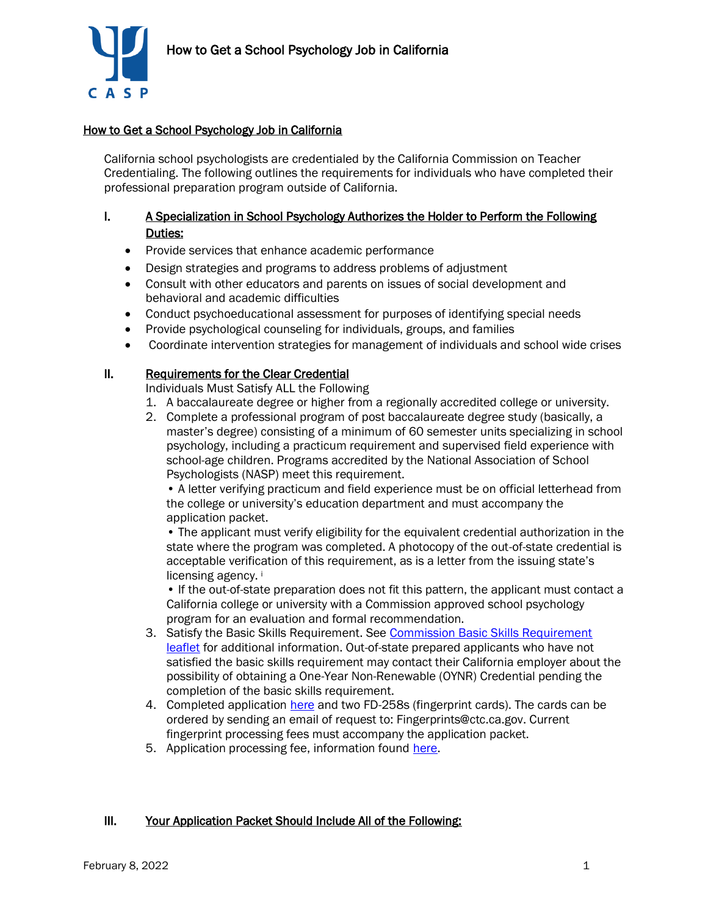### How to Get a School Psychology Job in California

California school psychologists are credentialed by the California Commission on Teacher Credentialing. The following outlines the requirements for individuals who have completed their professional preparation program outside of California.

## I. A Specialization in School Psychology Authorizes the Holder to Perform the Following Duties:

- Provide services that enhance academic performance
- Design strategies and programs to address problems of adjustment
- Consult with other educators and parents on issues of social development and behavioral and academic difficulties
- Conduct psychoeducational assessment for purposes of identifying special needs
- Provide psychological counseling for individuals, groups, and families
- Coordinate intervention strategies for management of individuals and school wide crises

#### II. Requirements for the Clear Credential

Individuals Must Satisfy ALL the Following

- 1. A baccalaureate degree or higher from a regionally accredited college or university.
- 2. Complete a professional program of post baccalaureate degree study (basically, a master's degree) consisting of a minimum of 60 semester units specializing in school psychology, including a practicum requirement and supervised field experience with school-age children. Programs accredited by the National Association of School Psychologists (NASP) meet this requirement.

• A letter verifying practicum and field experience must be on official letterhead from the college or university's education department and must accompany the application packet.

• The applicant must verify eligibility for the equivalent credential authorization in the state where the program was completed. A photocopy of the out-of-state credential is acceptable verification of this requirement, as is a letter from the issuing state's licensing agency. <sup>i</sup>

• If the out-of-state preparation does not fit this pattern, the applicant must contact a California college or university with a Commission approved school psychology program for an evaluation and formal recommendation.

- 3. Satisfy the Basic Skills Requirement. See Commission Basic Skills Requirement [leaflet](mailto:http://www.ctc.ca.gov/credentials/leaflets/cl667.pdf) for additional information. Out-of-state prepared applicants who have not satisfied the basic skills requirement may contact their California employer about the possibility of obtaining a One-Year Non-Renewable (OYNR) Credential pending the completion of the basic skills requirement.
- 4. Completed application [here](mailto:http://www.ctc.ca.gov/credentials/leaflets/414.pdf) and two FD-258s (fingerprint cards). The cards can be ordered by sending an email of request to: Fingerprints@ctc.ca.gov. Current fingerprint processing fees must accompany the application packet.
- 5. Application processing fee, information found [here.](mailto:http://www.ctc.ca.gov/credentials/leaflets/cl659.pdf)

## III. Your Application Packet Should Include All of the Following: